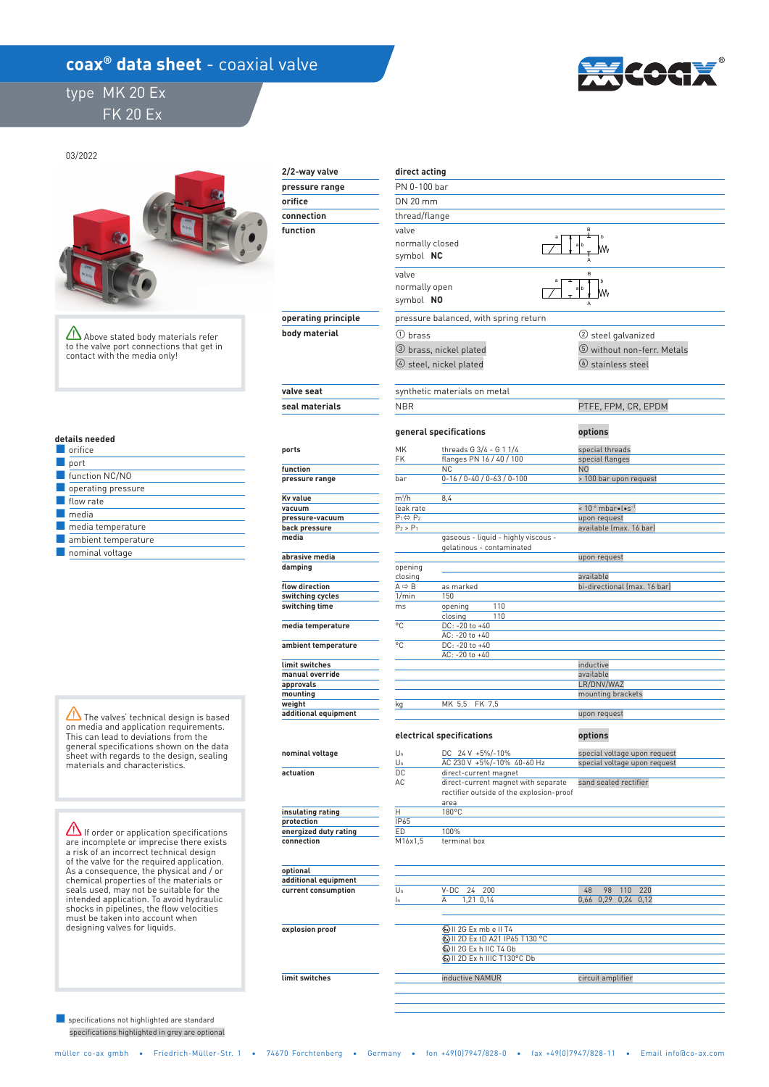## **coax<sup>®</sup> data sheet** - coaxial valve

## type MK 20 Ex FK 20 Ex



 **direct acting**  PN 0-100 bar DN 20 mm thread/flange valve ① brass ③ brass, nickel plated m<sup>3</sup>/h 8,4 opening 1/min 150 ms °C DC: -20 to +40 °C DC: -20 to +40 kg MK 5,5 FK 7,5  **details needed**  orifice ④ steel, nickel plated  **2/2-way valve function pressure range orifice connection operating principle body material valve seat seal materials**  normally closed symbol  **NC** valve normally open symbol  **NO ports function pressure range Kv value vacuum pressure-vacuum back pressure media abrasive media damping flow direction switching cycles switching time media temperature ambient temperature limit switches manual override approvals mounting weight additional equipment**  closing AC: -20 to +40 AC: -20 to +40 ■ port Eunction NC/NO operating pressure **E** flow rate ■ media **E** media temperature **B** nominal voltage ambient temperature 03/2022 opening 110 closing 110 The valves' technical design is based on media and application requirements. This can lead to deviations from the Above stated body materials refer to the valve port connections that get in contact with the media only!

> **nominal voltage actuation**

 **insulating rating protection energized duty rating connection** 

 **optional additional equipment current consumption** 

 **explosion proof** 

 **limit switches** 

general specifications shown on the data sheet with regards to the design, sealing materials and characteristics.

 $\Delta$  If order or application specifications are incomplete or imprecise there exists a risk of an incorrect technical design of the valve for the required application. As a consequence, the physical and / or chemical properties of the materials or seals used, may not be suitable for the intended application. To avoid hydraulic shocks in pipelines, the flow velocities must be taken into account when designing valves for liquids.

 specifications highlighted in grey are optional ■ specifications not highlighted are standard

| symbol NC                 |                                                                  | А                              |
|---------------------------|------------------------------------------------------------------|--------------------------------|
| valve                     |                                                                  | B                              |
| normally open             |                                                                  |                                |
| symbol NO                 |                                                                  |                                |
|                           | pressure balanced, with spring return                            |                                |
| $\Omega$ brass            |                                                                  | ② steel galvanized             |
|                           |                                                                  |                                |
| 3 brass, nickel plated    |                                                                  | 5 without non-ferr. Metals     |
|                           | 4 steel, nickel plated                                           | $\circledcirc$ stainless steel |
|                           | synthetic materials on metal                                     |                                |
| <b>NBR</b>                |                                                                  | PTFE, FPM, CR, EPDM            |
|                           |                                                                  |                                |
| general specifications    |                                                                  | options                        |
| MK                        | threads G 3/4 - G 1 1/4                                          | special threads                |
| FK                        | flanges PN 16 / 40 / 100                                         | special flanges                |
|                           | <b>NC</b>                                                        | N <sub>O</sub>                 |
| bar                       | $0-16$ / $0-40$ / $0-63$ / $0-100$                               | > 100 bar upon request         |
| m <sup>3</sup> /h         | 8,4                                                              |                                |
| leak rate                 |                                                                  | < 10-6 mbar.l.s-1              |
| $P_1 \Leftrightarrow P_2$ |                                                                  | upon request                   |
| $P_2 > P_1$               |                                                                  | available (max. 16 bar)        |
|                           | gaseous - liquid - highly viscous -<br>gelatinous - contaminated |                                |
|                           |                                                                  | upon request                   |
| opening                   |                                                                  |                                |
| closing                   |                                                                  | available                      |
| A⇔B<br>1/min              | as marked<br>150                                                 | bi-directional (max. 16 bar)   |
| ms                        | 110<br>opening                                                   |                                |
|                           | 110<br>closing                                                   |                                |
| °C                        | DC: -20 to +40                                                   |                                |
|                           | AC: -20 to +40                                                   |                                |
| °C                        | DC: -20 to +40                                                   |                                |
|                           | AC: -20 to +40                                                   |                                |
|                           |                                                                  | inductive                      |
|                           |                                                                  | available                      |
|                           |                                                                  | LR/DNV/WAZ                     |
|                           | MK 5,5<br>FK 7,5                                                 | mounting brackets              |
| kq                        |                                                                  | upon request                   |
|                           |                                                                  |                                |
|                           | electrical specifications                                        | options                        |
| Un                        | DC 24 V +5%/-10%                                                 | special voltage upon request   |
| Un                        | AC 230 V +5%/-10% 40-60 Hz                                       | special voltage upon request   |
| DC                        | direct-current magnet                                            |                                |
| AC                        | direct-current magnet with separate                              | sand sealed rectifier          |
|                           | rectifier outside of the explosion-proof                         |                                |
| H                         | area<br>180°C                                                    |                                |
| IP65                      |                                                                  |                                |
| ED                        | 100%                                                             |                                |
| M16x1,5                   | terminal box                                                     |                                |
|                           |                                                                  |                                |
|                           |                                                                  |                                |
| $\mathsf{II}_n$           | $V$ -DC $24$<br>200                                              | 48<br>98<br>110<br>220         |
|                           |                                                                  |                                |

 $\frac{1}{2}$ B

| Un  | $V-DC$ 24 200                          | 48<br>98<br>220<br>110 |  |
|-----|----------------------------------------|------------------------|--|
| In. | 1,21 0,14<br>A                         | 0.66 0.29 0.24 0.12    |  |
|     |                                        |                        |  |
|     |                                        |                        |  |
|     | WII 2G Ex mb e II T4                   |                        |  |
|     | <b>EXIL 2D Ex tD A21 IP65 T130 °C</b>  |                        |  |
|     | <b>WII 2G Ex h IIC T4 Gb</b>           |                        |  |
|     | <b>&amp; II 2D Ex h IIIC T130°C Db</b> |                        |  |
|     |                                        |                        |  |
|     | inductive NAMUR                        | circuit amplifier      |  |
|     |                                        |                        |  |
|     |                                        |                        |  |